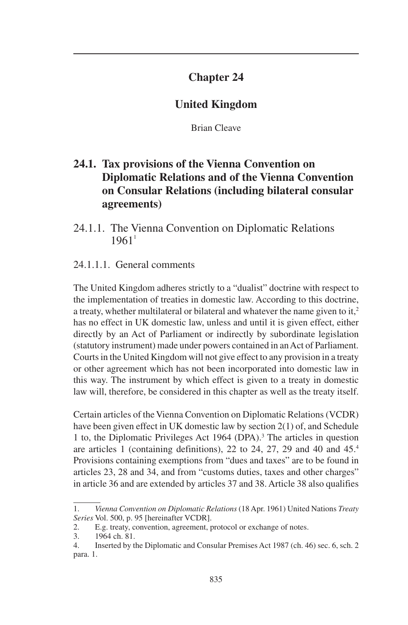# **Chapter 24**

# **United Kingdom**

Brian Cleave

# **24.1. Tax provisions of the Vienna Convention on Diplomatic Relations and of the Vienna Convention on Consular Relations (including bilateral consular agreements)**

24.1.1. The Vienna Convention on Diplomatic Relations  $1961<sup>1</sup>$ 

### 24.1.1.1. General comments

The United Kingdom adheres strictly to a "dualist" doctrine with respect to the implementation of treaties in domestic law. According to this doctrine, a treaty, whether multilateral or bilateral and whatever the name given to it,<sup>2</sup> has no effect in UK domestic law, unless and until it is given effect, either directly by an Act of Parliament or indirectly by subordinate legislation (statutory instrument) made under powers contained in an Act of Parliament. Courts in the United Kingdom will not give effect to any provision in a treaty or other agreement which has not been incorporated into domestic law in this way. The instrument by which effect is given to a treaty in domestic law will, therefore, be considered in this chapter as well as the treaty itself.

Certain articles of the Vienna Convention on Diplomatic Relations (VCDR) have been given effect in UK domestic law by section 2(1) of, and Schedule 1 to, the Diplomatic Privileges Act 1964 (DPA).3 The articles in question are articles 1 (containing definitions), 22 to 24, 27, 29 and 40 and 45.4 Provisions containing exemptions from "dues and taxes" are to be found in articles 23, 28 and 34, and from "customs duties, taxes and other charges" in article 36 and are extended by articles 37 and 38. Article 38 also qualifies

<sup>1.</sup> *Vienna Convention on Diplomatic Relations* (18 Apr. 1961) United Nations *Treaty Series* Vol. 500, p. 95 [hereinafter VCDR].

<sup>2.</sup> E.g. treaty, convention, agreement, protocol or exchange of notes.

<sup>3.</sup> 1964 ch. 81.

<sup>4.</sup> Inserted by the Diplomatic and Consular Premises Act 1987 (ch. 46) sec. 6, sch. 2 para. 1.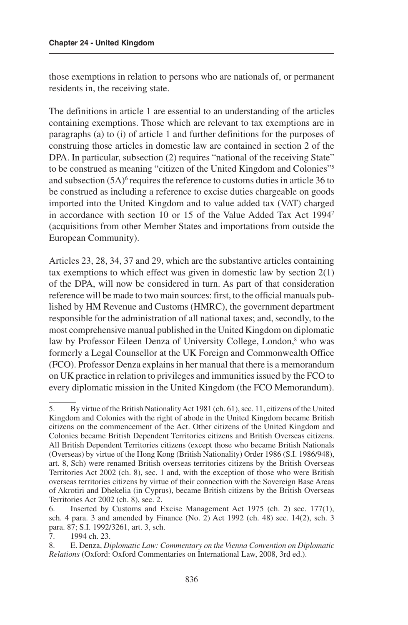those exemptions in relation to persons who are nationals of, or permanent residents in, the receiving state.

The definitions in article 1 are essential to an understanding of the articles containing exemptions. Those which are relevant to tax exemptions are in paragraphs (a) to (i) of article 1 and further definitions for the purposes of construing those articles in domestic law are contained in section 2 of the DPA. In particular, subsection (2) requires "national of the receiving State" to be construed as meaning "citizen of the United Kingdom and Colonies"5 and subsection  $(5A)^6$  requires the reference to customs duties in article 36 to be construed as including a reference to excise duties chargeable on goods imported into the United Kingdom and to value added tax (VAT) charged in accordance with section 10 or 15 of the Value Added Tax Act 19947 (acquisitions from other Member States and importations from outside the European Community).

Articles 23, 28, 34, 37 and 29, which are the substantive articles containing tax exemptions to which effect was given in domestic law by section 2(1) of the DPA, will now be considered in turn. As part of that consideration reference will be made to two main sources: first, to the official manuals published by HM Revenue and Customs (HMRC), the government department responsible for the administration of all national taxes; and, secondly, to the most comprehensive manual published in the United Kingdom on diplomatic law by Professor Eileen Denza of University College, London,<sup>8</sup> who was formerly a Legal Counsellor at the UK Foreign and Commonwealth Office (FCO). Professor Denza explains in her manual that there is a memorandum on UK practice in relation to privileges and immunities issued by the FCO to every diplomatic mission in the United Kingdom (the FCO Memorandum).

<sup>5.</sup> By virtue of the British Nationality Act 1981 (ch. 61), sec. 11, citizens of the United Kingdom and Colonies with the right of abode in the United Kingdom became British citizens on the commencement of the Act. Other citizens of the United Kingdom and Colonies became British Dependent Territories citizens and British Overseas citizens. All British Dependent Territories citizens (except those who became British Nationals (Overseas) by virtue of the Hong Kong (British Nationality) Order 1986 (S.I. 1986/948), art. 8, Sch) were renamed British overseas territories citizens by the British Overseas Territories Act 2002 (ch. 8), sec. 1 and, with the exception of those who were British overseas territories citizens by virtue of their connection with the Sovereign Base Areas of Akrotiri and Dhekelia (in Cyprus), became British citizens by the British Overseas Territories Act 2002 (ch. 8), sec. 2.

<sup>6.</sup> Inserted by Customs and Excise Management Act 1975 (ch. 2) sec. 177(1), sch. 4 para. 3 and amended by Finance (No. 2) Act 1992 (ch. 48) sec. 14(2), sch. 3 para. 87; S.I. 1992/3261, art. 3, sch.

<sup>7.</sup> 1994 ch. 23.

<sup>8.</sup> E. Denza, *Diplomatic Law: Commentary on the Vienna Convention on Diplomatic Relations* (Oxford: Oxford Commentaries on International Law, 2008, 3rd ed.).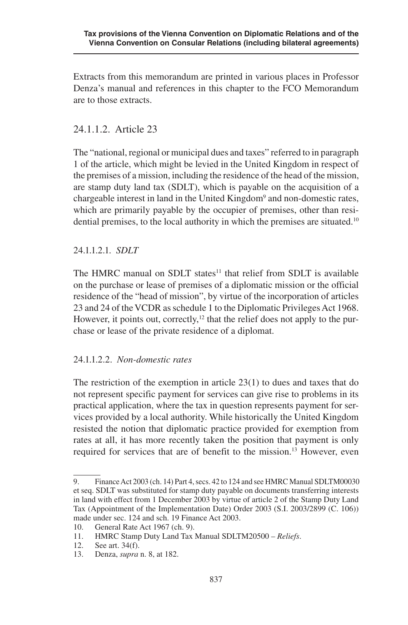Extracts from this memorandum are printed in various places in Professor Denza's manual and references in this chapter to the FCO Memorandum are to those extracts.

### 24.1.1.2. Article 23

The "national, regional or municipal dues and taxes" referred to in paragraph 1 of the article, which might be levied in the United Kingdom in respect of the premises of a mission, including the residence of the head of the mission, are stamp duty land tax (SDLT), which is payable on the acquisition of a chargeable interest in land in the United Kingdom<sup>9</sup> and non-domestic rates, which are primarily payable by the occupier of premises, other than residential premises, to the local authority in which the premises are situated.<sup>10</sup>

#### 24.1.1.2.1. *SDLT*

The HMRC manual on SDLT states<sup>11</sup> that relief from SDLT is available on the purchase or lease of premises of a diplomatic mission or the official residence of the "head of mission", by virtue of the incorporation of articles 23 and 24 of the VCDR as schedule 1 to the Diplomatic Privileges Act 1968. However, it points out, correctly,<sup>12</sup> that the relief does not apply to the purchase or lease of the private residence of a diplomat.

### 24.1.1.2.2. *Non-domestic rates*

The restriction of the exemption in article 23(1) to dues and taxes that do not represent specific payment for services can give rise to problems in its practical application, where the tax in question represents payment for services provided by a local authority. While historically the United Kingdom resisted the notion that diplomatic practice provided for exemption from rates at all, it has more recently taken the position that payment is only required for services that are of benefit to the mission.<sup>13</sup> However, even

<sup>9.</sup> Finance Act 2003 (ch. 14) Part 4, secs. 42 to 124 and see HMRC Manual SDLTM00030 et seq. SDLT was substituted for stamp duty payable on documents transferring interests in land with effect from 1 December 2003 by virtue of article 2 of the Stamp Duty Land Tax (Appointment of the Implementation Date) Order 2003 (S.I. 2003/2899 (C. 106)) made under sec. 124 and sch. 19 Finance Act 2003.

<sup>10.</sup> General Rate Act 1967 (ch. 9).

<sup>11.</sup> HMRC Stamp Duty Land Tax Manual SDLTM20500 – *Reliefs*.

<sup>12.</sup> See art. 34(f).

<sup>13.</sup> Denza, *supra* n. 8, at 182.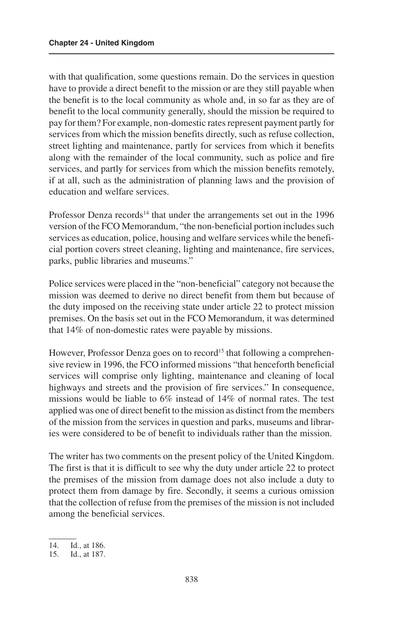with that qualification, some questions remain. Do the services in question have to provide a direct benefit to the mission or are they still payable when the benefit is to the local community as whole and, in so far as they are of benefit to the local community generally, should the mission be required to pay for them? For example, non-domestic rates represent payment partly for services from which the mission benefits directly, such as refuse collection, street lighting and maintenance, partly for services from which it benefits along with the remainder of the local community, such as police and fire services, and partly for services from which the mission benefits remotely, if at all, such as the administration of planning laws and the provision of education and welfare services.

Professor Denza records<sup>14</sup> that under the arrangements set out in the 1996 version of the FCO Memorandum, "the non-beneficial portion includes such services as education, police, housing and welfare services while the beneficial portion covers street cleaning, lighting and maintenance, fire services, parks, public libraries and museums."

Police services were placed in the "non-beneficial" category not because the mission was deemed to derive no direct benefit from them but because of the duty imposed on the receiving state under article 22 to protect mission premises. On the basis set out in the FCO Memorandum, it was determined that 14% of non-domestic rates were payable by missions.

However, Professor Denza goes on to record<sup>15</sup> that following a comprehensive review in 1996, the FCO informed missions "that henceforth beneficial services will comprise only lighting, maintenance and cleaning of local highways and streets and the provision of fire services." In consequence, missions would be liable to 6% instead of 14% of normal rates. The test applied was one of direct benefit to the mission as distinct from the members of the mission from the services in question and parks, museums and libraries were considered to be of benefit to individuals rather than the mission.

The writer has two comments on the present policy of the United Kingdom. The first is that it is difficult to see why the duty under article 22 to protect the premises of the mission from damage does not also include a duty to protect them from damage by fire. Secondly, it seems a curious omission that the collection of refuse from the premises of the mission is not included among the beneficial services.

<sup>14.</sup> Id., at 186.

<sup>15.</sup> Id., at 187.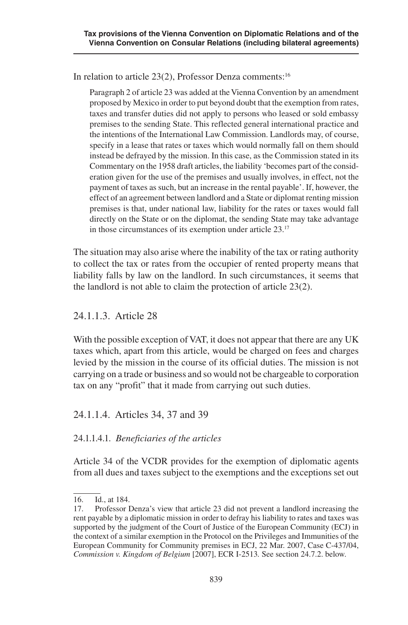In relation to article 23(2), Professor Denza comments:16

Paragraph 2 of article 23 was added at the Vienna Convention by an amendment proposed by Mexico in order to put beyond doubt that the exemption from rates, taxes and transfer duties did not apply to persons who leased or sold embassy premises to the sending State. This reflected general international practice and the intentions of the International Law Commission. Landlords may, of course, specify in a lease that rates or taxes which would normally fall on them should instead be defrayed by the mission. In this case, as the Commission stated in its Commentary on the 1958 draft articles, the liability 'becomes part of the consideration given for the use of the premises and usually involves, in effect, not the payment of taxes as such, but an increase in the rental payable'. If, however, the effect of an agreement between landlord and a State or diplomat renting mission premises is that, under national law, liability for the rates or taxes would fall directly on the State or on the diplomat, the sending State may take advantage in those circumstances of its exemption under article 23.17

The situation may also arise where the inability of the tax or rating authority to collect the tax or rates from the occupier of rented property means that liability falls by law on the landlord. In such circumstances, it seems that the landlord is not able to claim the protection of article 23(2).

### 24.1.1.3. Article 28

With the possible exception of VAT, it does not appear that there are any UK taxes which, apart from this article, would be charged on fees and charges levied by the mission in the course of its official duties. The mission is not carrying on a trade or business and so would not be chargeable to corporation tax on any "profit" that it made from carrying out such duties.

### 24.1.1.4. Articles 34, 37 and 39

### 24.1.1.4.1. *Beneficiaries of the articles*

Article 34 of the VCDR provides for the exemption of diplomatic agents from all dues and taxes subject to the exemptions and the exceptions set out

<sup>16.</sup> Id., at 184.

<sup>17.</sup> Professor Denza's view that article 23 did not prevent a landlord increasing the rent payable by a diplomatic mission in order to defray his liability to rates and taxes was supported by the judgment of the Court of Justice of the European Community (ECJ) in the context of a similar exemption in the Protocol on the Privileges and Immunities of the European Community for Community premises in ECJ, 22 Mar. 2007, Case C-437/04, *Commission v. Kingdom of Belgium* [2007], ECR I-2513*.* See section 24.7.2. below.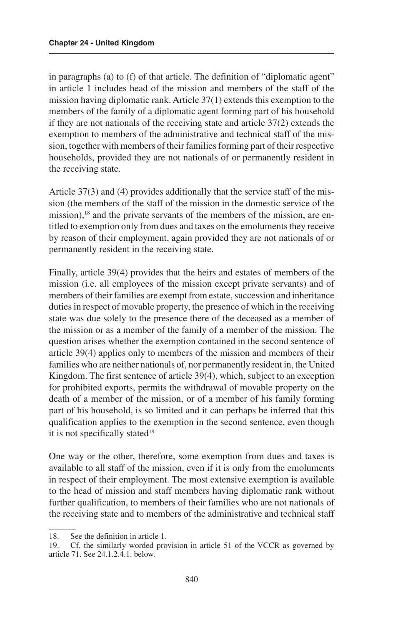in paragraphs (a) to (f) of that article. The definition of "diplomatic agent" in article 1 includes head of the mission and members of the staff of the mission having diplomatic rank. Article 37(1) extends this exemption to the members of the family of a diplomatic agent forming part of his household if they are not nationals of the receiving state and article 37(2) extends the exemption to members of the administrative and technical staff of the mission, together with members of their families forming part of their respective households, provided they are not nationals of or permanently resident in the receiving state.

Article 37(3) and (4) provides additionally that the service staff of the mission (the members of the staff of the mission in the domestic service of the mission),<sup>18</sup> and the private servants of the members of the mission, are entitled to exemption only from dues and taxes on the emoluments they receive by reason of their employment, again provided they are not nationals of or permanently resident in the receiving state.

Finally, article 39(4) provides that the heirs and estates of members of the mission (i.e. all employees of the mission except private servants) and of members of their families are exempt from estate, succession and inheritance duties in respect of movable property, the presence of which in the receiving state was due solely to the presence there of the deceased as a member of the mission or as a member of the family of a member of the mission. The question arises whether the exemption contained in the second sentence of article 39(4) applies only to members of the mission and members of their families who are neither nationals of, nor permanently resident in, the United Kingdom. The first sentence of article 39(4), which, subject to an exception for prohibited exports, permits the withdrawal of movable property on the death of a member of the mission, or of a member of his family forming part of his household, is so limited and it can perhaps be inferred that this qualification applies to the exemption in the second sentence, even though it is not specifically stated<sup>19</sup>

One way or the other, therefore, some exemption from dues and taxes is available to all staff of the mission, even if it is only from the emoluments in respect of their employment. The most extensive exemption is available to the head of mission and staff members having diplomatic rank without further qualification, to members of their families who are not nationals of the receiving state and to members of the administrative and technical staff

<sup>18.</sup> See the definition in article 1.

<sup>19.</sup> Cf. the similarly worded provision in article 51 of the VCCR as governed by article 71. See 24.1.2.4.1. below.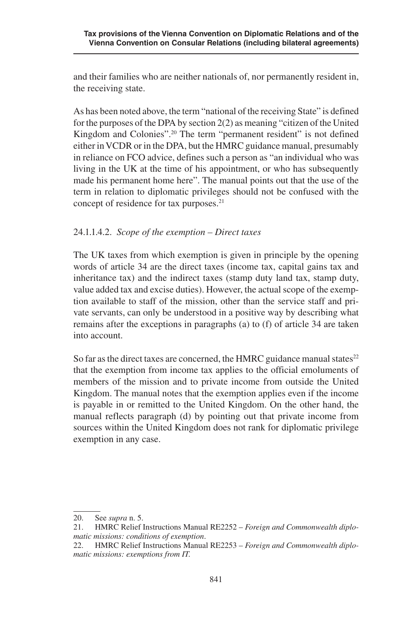and their families who are neither nationals of, nor permanently resident in, the receiving state.

As has been noted above, the term "national of the receiving State" is defined for the purposes of the DPA by section 2(2) as meaning "citizen of the United Kingdom and Colonies".20 The term "permanent resident" is not defined either in VCDR or in the DPA, but the HMRC guidance manual, presumably in reliance on FCO advice, defines such a person as "an individual who was living in the UK at the time of his appointment, or who has subsequently made his permanent home here". The manual points out that the use of the term in relation to diplomatic privileges should not be confused with the concept of residence for tax purposes.<sup>21</sup>

#### 24.1.1.4.2. *Scope of the exemption – Direct taxes*

The UK taxes from which exemption is given in principle by the opening words of article 34 are the direct taxes (income tax, capital gains tax and inheritance tax) and the indirect taxes (stamp duty land tax, stamp duty, value added tax and excise duties). However, the actual scope of the exemption available to staff of the mission, other than the service staff and private servants, can only be understood in a positive way by describing what remains after the exceptions in paragraphs (a) to (f) of article 34 are taken into account.

So far as the direct taxes are concerned, the HMRC guidance manual states $^{22}$ that the exemption from income tax applies to the official emoluments of members of the mission and to private income from outside the United Kingdom. The manual notes that the exemption applies even if the income is payable in or remitted to the United Kingdom. On the other hand, the manual reflects paragraph (d) by pointing out that private income from sources within the United Kingdom does not rank for diplomatic privilege exemption in any case.

<sup>20.</sup> See *supra* n. 5.

<sup>21.</sup> HMRC Relief Instructions Manual RE2252 – *Foreign and Commonwealth diplomatic missions: conditions of exemption*.

<sup>22.</sup> HMRC Relief Instructions Manual RE2253 – *Foreign and Commonwealth diplomatic missions: exemptions from IT.*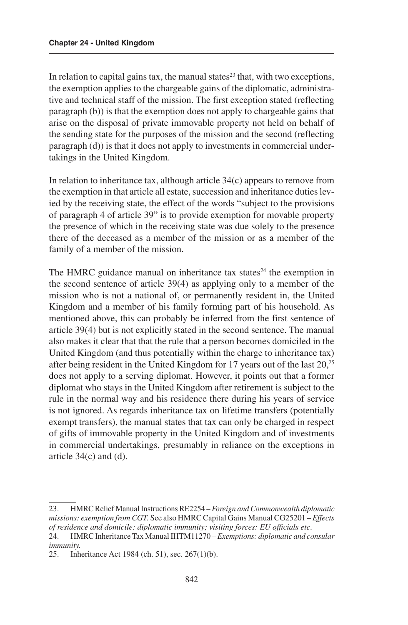In relation to capital gains tax, the manual states<sup>23</sup> that, with two exceptions, the exemption applies to the chargeable gains of the diplomatic, administrative and technical staff of the mission. The first exception stated (reflecting paragraph (b)) is that the exemption does not apply to chargeable gains that arise on the disposal of private immovable property not held on behalf of the sending state for the purposes of the mission and the second (reflecting paragraph (d)) is that it does not apply to investments in commercial undertakings in the United Kingdom.

In relation to inheritance tax, although article 34(c) appears to remove from the exemption in that article all estate, succession and inheritance duties levied by the receiving state, the effect of the words "subject to the provisions of paragraph 4 of article 39" is to provide exemption for movable property the presence of which in the receiving state was due solely to the presence there of the deceased as a member of the mission or as a member of the family of a member of the mission.

The HMRC guidance manual on inheritance tax states<sup>24</sup> the exemption in the second sentence of article 39(4) as applying only to a member of the mission who is not a national of, or permanently resident in, the United Kingdom and a member of his family forming part of his household. As mentioned above, this can probably be inferred from the first sentence of article 39(4) but is not explicitly stated in the second sentence. The manual also makes it clear that that the rule that a person becomes domiciled in the United Kingdom (and thus potentially within the charge to inheritance tax) after being resident in the United Kingdom for 17 years out of the last 20,<sup>25</sup> does not apply to a serving diplomat. However, it points out that a former diplomat who stays in the United Kingdom after retirement is subject to the rule in the normal way and his residence there during his years of service is not ignored. As regards inheritance tax on lifetime transfers (potentially exempt transfers), the manual states that tax can only be charged in respect of gifts of immovable property in the United Kingdom and of investments in commercial undertakings, presumably in reliance on the exceptions in article 34(c) and (d).

<sup>23.</sup> HMRC Relief Manual Instructions RE2254 – *Foreign and Commonwealth diplomatic missions: exemption from CGT.* See also HMRC Capital Gains Manual CG25201 – *Effects of residence and domicile: diplomatic immunity; visiting forces: EU officials etc*.

<sup>24.</sup> HMRC Inheritance Tax Manual IHTM11270 – *Exemptions: diplomatic and consular immunity.*

<sup>25.</sup> Inheritance Act 1984 (ch. 51), sec. 267(1)(b).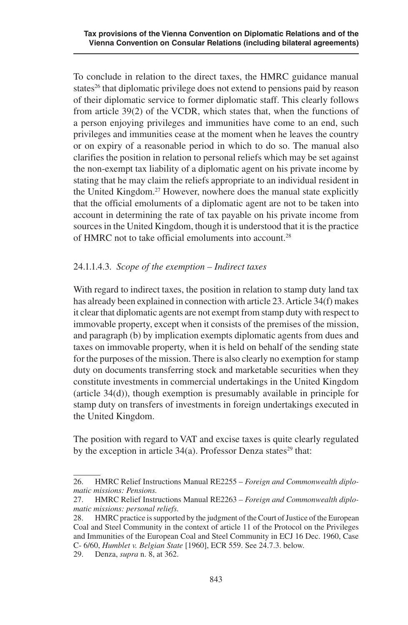To conclude in relation to the direct taxes, the HMRC guidance manual states<sup>26</sup> that diplomatic privilege does not extend to pensions paid by reason of their diplomatic service to former diplomatic staff. This clearly follows from article 39(2) of the VCDR, which states that, when the functions of a person enjoying privileges and immunities have come to an end, such privileges and immunities cease at the moment when he leaves the country or on expiry of a reasonable period in which to do so. The manual also clarifies the position in relation to personal reliefs which may be set against the non-exempt tax liability of a diplomatic agent on his private income by stating that he may claim the reliefs appropriate to an individual resident in the United Kingdom.27 However, nowhere does the manual state explicitly that the official emoluments of a diplomatic agent are not to be taken into account in determining the rate of tax payable on his private income from sources in the United Kingdom, though it is understood that it is the practice of HMRC not to take official emoluments into account.28

#### 24.1.1.4.3. *Scope of the exemption – Indirect taxes*

With regard to indirect taxes, the position in relation to stamp duty land tax has already been explained in connection with article 23. Article 34(f) makes it clear that diplomatic agents are not exempt from stamp duty with respect to immovable property, except when it consists of the premises of the mission, and paragraph (b) by implication exempts diplomatic agents from dues and taxes on immovable property, when it is held on behalf of the sending state for the purposes of the mission. There is also clearly no exemption for stamp duty on documents transferring stock and marketable securities when they constitute investments in commercial undertakings in the United Kingdom (article 34(d)), though exemption is presumably available in principle for stamp duty on transfers of investments in foreign undertakings executed in the United Kingdom.

The position with regard to VAT and excise taxes is quite clearly regulated by the exception in article  $34(a)$ . Professor Denza states<sup>29</sup> that:

<sup>26.</sup> HMRC Relief Instructions Manual RE2255 – *Foreign and Commonwealth diplomatic missions: Pensions.*

<sup>27.</sup> HMRC Relief Instructions Manual RE2263 – *Foreign and Commonwealth diplomatic missions: personal reliefs.*

<sup>28.</sup> HMRC practice is supported by the judgment of the Court of Justice of the European Coal and Steel Community in the context of article 11 of the Protocol on the Privileges and Immunities of the European Coal and Steel Community in ECJ 16 Dec. 1960, Case C- 6/60, *Humblet v. Belgian State* [1960], ECR 559. See 24.7.3. below.

<sup>29.</sup> Denza, *supra* n. 8, at 362.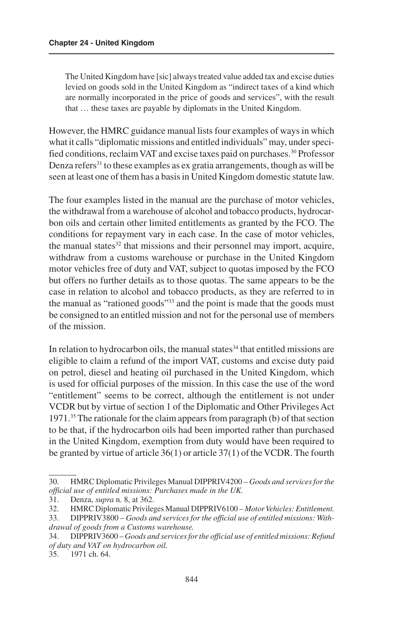The United Kingdom have [sic] always treated value added tax and excise duties levied on goods sold in the United Kingdom as "indirect taxes of a kind which are normally incorporated in the price of goods and services", with the result that … these taxes are payable by diplomats in the United Kingdom.

However, the HMRC guidance manual lists four examples of ways in which what it calls "diplomatic missions and entitled individuals" may, under specified conditions, reclaim VAT and excise taxes paid on purchases.30 Professor Denza refers<sup>31</sup> to these examples as ex gratia arrangements, though as will be seen at least one of them has a basis in United Kingdom domestic statute law.

The four examples listed in the manual are the purchase of motor vehicles, the withdrawal from a warehouse of alcohol and tobacco products, hydrocarbon oils and certain other limited entitlements as granted by the FCO. The conditions for repayment vary in each case. In the case of motor vehicles, the manual states $32$  that missions and their personnel may import, acquire, withdraw from a customs warehouse or purchase in the United Kingdom motor vehicles free of duty and VAT, subject to quotas imposed by the FCO but offers no further details as to those quotas. The same appears to be the case in relation to alcohol and tobacco products, as they are referred to in the manual as "rationed goods"<sup>33</sup> and the point is made that the goods must be consigned to an entitled mission and not for the personal use of members of the mission.

In relation to hydrocarbon oils, the manual states $34$  that entitled missions are eligible to claim a refund of the import VAT, customs and excise duty paid on petrol, diesel and heating oil purchased in the United Kingdom, which is used for official purposes of the mission. In this case the use of the word "entitlement" seems to be correct, although the entitlement is not under VCDR but by virtue of section 1 of the Diplomatic and Other Privileges Act 1971.35 The rationale for the claim appears from paragraph (b) of that section to be that, if the hydrocarbon oils had been imported rather than purchased in the United Kingdom, exemption from duty would have been required to be granted by virtue of article 36(1) or article 37(1) of the VCDR. The fourth

<sup>30.</sup> HMRC Diplomatic Privileges Manual DIPPRIV4200 – *Goods and services for the official use of entitled missions: Purchases made in the UK.*

<sup>31.</sup> Denza, *supra* n. 8, at 362.

<sup>32.</sup> HMRC Diplomatic Privileges Manual DIPPRIV6100 – *Motor Vehicles: Entitlement.*

<sup>33.</sup> DIPPRIV3800 – *Goods and services for the official use of entitled missions: Withdrawal of goods from a Customs warehouse.*

<sup>34.</sup> DIPPRIV3600 – *Goods and services for the official use of entitled missions: Refund of duty and VAT on hydrocarbon oil.*

<sup>35.</sup> 1971 ch. 64.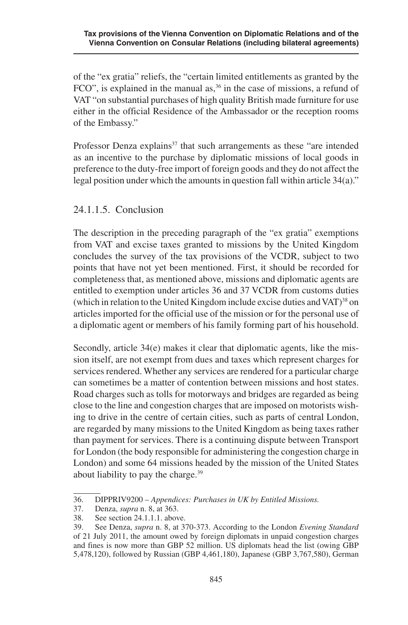of the "ex gratia" reliefs, the "certain limited entitlements as granted by the FCO", is explained in the manual as,  $36$  in the case of missions, a refund of VAT "on substantial purchases of high quality British made furniture for use either in the official Residence of the Ambassador or the reception rooms of the Embassy."

Professor Denza explains<sup>37</sup> that such arrangements as these "are intended as an incentive to the purchase by diplomatic missions of local goods in preference to the duty-free import of foreign goods and they do not affect the legal position under which the amounts in question fall within article 34(a)."

### 24.1.1.5. Conclusion

The description in the preceding paragraph of the "ex gratia" exemptions from VAT and excise taxes granted to missions by the United Kingdom concludes the survey of the tax provisions of the VCDR, subject to two points that have not yet been mentioned. First, it should be recorded for completeness that, as mentioned above, missions and diplomatic agents are entitled to exemption under articles 36 and 37 VCDR from customs duties (which in relation to the United Kingdom include excise duties and  $VAT$ )<sup>38</sup> on articles imported for the official use of the mission or for the personal use of a diplomatic agent or members of his family forming part of his household.

Secondly, article 34(e) makes it clear that diplomatic agents, like the mission itself, are not exempt from dues and taxes which represent charges for services rendered. Whether any services are rendered for a particular charge can sometimes be a matter of contention between missions and host states. Road charges such as tolls for motorways and bridges are regarded as being close to the line and congestion charges that are imposed on motorists wishing to drive in the centre of certain cities, such as parts of central London, are regarded by many missions to the United Kingdom as being taxes rather than payment for services. There is a continuing dispute between Transport for London (the body responsible for administering the congestion charge in London) and some 64 missions headed by the mission of the United States about liability to pay the charge.39

<sup>36.</sup> DIPPRIV9200 – *Appendices: Purchases in UK by Entitled Missions.*

<sup>37.</sup> Denza, *supra* n. 8, at 363.

<sup>38.</sup> See section 24.1.1.1. above.

<sup>39.</sup> See Denza, *supra* n. 8, at 370-373. According to the London *Evening Standard*  of 21 July 2011, the amount owed by foreign diplomats in unpaid congestion charges and fines is now more than GBP 52 million. US diplomats head the list (owing GBP 5,478,120), followed by Russian (GBP 4,461,180), Japanese (GBP 3,767,580), German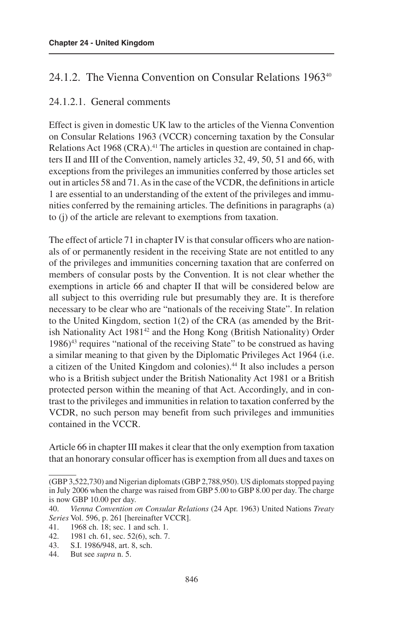### 24.1.2. The Vienna Convention on Consular Relations 1963<sup>40</sup>

### 24.1.2.1. General comments

Effect is given in domestic UK law to the articles of the Vienna Convention on Consular Relations 1963 (VCCR) concerning taxation by the Consular Relations Act 1968 (CRA).<sup>41</sup> The articles in question are contained in chapters II and III of the Convention, namely articles 32, 49, 50, 51 and 66, with exceptions from the privileges an immunities conferred by those articles set out in articles 58 and 71. As in the case of the VCDR, the definitions in article 1 are essential to an understanding of the extent of the privileges and immunities conferred by the remaining articles. The definitions in paragraphs (a) to (j) of the article are relevant to exemptions from taxation.

The effect of article 71 in chapter IV is that consular officers who are nationals of or permanently resident in the receiving State are not entitled to any of the privileges and immunities concerning taxation that are conferred on members of consular posts by the Convention. It is not clear whether the exemptions in article 66 and chapter II that will be considered below are all subject to this overriding rule but presumably they are. It is therefore necessary to be clear who are "nationals of the receiving State". In relation to the United Kingdom, section 1(2) of the CRA (as amended by the British Nationality Act 1981<sup>42</sup> and the Hong Kong (British Nationality) Order 1986)43 requires "national of the receiving State" to be construed as having a similar meaning to that given by the Diplomatic Privileges Act 1964 (i.e. a citizen of the United Kingdom and colonies).44 It also includes a person who is a British subject under the British Nationality Act 1981 or a British protected person within the meaning of that Act. Accordingly, and in contrast to the privileges and immunities in relation to taxation conferred by the VCDR, no such person may benefit from such privileges and immunities contained in the VCCR.

Article 66 in chapter III makes it clear that the only exemption from taxation that an honorary consular officer has is exemption from all dues and taxes on

<sup>(</sup>GBP 3,522,730) and Nigerian diplomats (GBP 2,788,950). US diplomats stopped paying in July 2006 when the charge was raised from GBP 5.00 to GBP 8.00 per day. The charge is now GBP 10.00 per day.

<sup>40.</sup> *Vienna Convention on Consular Relations* (24 Apr. 1963) United Nations *Treaty Series* Vol. 596, p. 261 [hereinafter VCCR].

<sup>41.</sup> 1968 ch. 18; sec. 1 and sch. 1.

<sup>42.</sup> 1981 ch. 61, sec. 52(6), sch. 7.

<sup>43.</sup> S.I. 1986/948, art. 8, sch.

<sup>44.</sup> But see *supra* n. 5.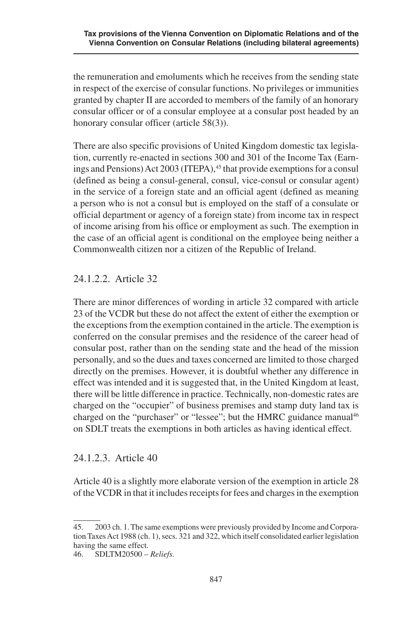the remuneration and emoluments which he receives from the sending state in respect of the exercise of consular functions. No privileges or immunities granted by chapter II are accorded to members of the family of an honorary consular officer or of a consular employee at a consular post headed by an honorary consular officer (article 58(3)).

There are also specific provisions of United Kingdom domestic tax legislation, currently re-enacted in sections 300 and 301 of the Income Tax (Earnings and Pensions) Act 2003 (ITEPA),<sup>45</sup> that provide exemptions for a consul (defined as being a consul-general, consul, vice-consul or consular agent) in the service of a foreign state and an official agent (defined as meaning a person who is not a consul but is employed on the staff of a consulate or official department or agency of a foreign state) from income tax in respect of income arising from his office or employment as such. The exemption in the case of an official agent is conditional on the employee being neither a Commonwealth citizen nor a citizen of the Republic of Ireland.

### 24.1.2.2. Article 32

There are minor differences of wording in article 32 compared with article 23 of the VCDR but these do not affect the extent of either the exemption or the exceptions from the exemption contained in the article. The exemption is conferred on the consular premises and the residence of the career head of consular post, rather than on the sending state and the head of the mission personally, and so the dues and taxes concerned are limited to those charged directly on the premises. However, it is doubtful whether any difference in effect was intended and it is suggested that, in the United Kingdom at least, there will be little difference in practice. Technically, non-domestic rates are charged on the "occupier" of business premises and stamp duty land tax is charged on the "purchaser" or "lessee"; but the HMRC guidance manual<sup>46</sup> on SDLT treats the exemptions in both articles as having identical effect.

### 24.1.2.3. Article 40

Article 40 is a slightly more elaborate version of the exemption in article 28 of the VCDR in that it includes receipts for fees and charges in the exemption

<sup>45.</sup> 2003 ch. 1. The same exemptions were previously provided by Income and Corporation Taxes Act 1988 (ch. 1), secs. 321 and 322, which itself consolidated earlier legislation having the same effect.

<sup>46.</sup> SDLTM20500 – *Reliefs.*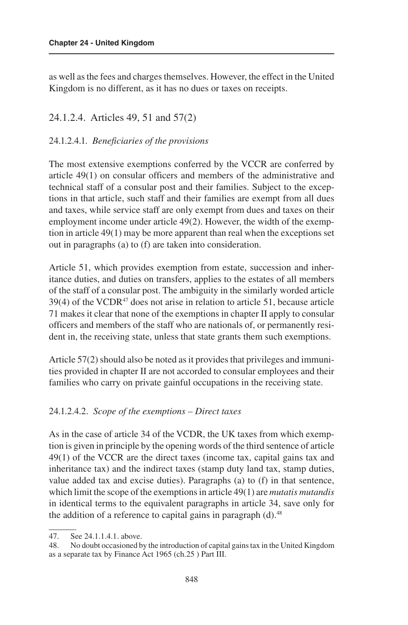as well as the fees and charges themselves. However, the effect in the United Kingdom is no different, as it has no dues or taxes on receipts.

#### 24.1.2.4. Articles 49, 51 and 57(2)

#### 24.1.2.4.1. *Beneficiaries of the provisions*

The most extensive exemptions conferred by the VCCR are conferred by article 49(1) on consular officers and members of the administrative and technical staff of a consular post and their families. Subject to the exceptions in that article, such staff and their families are exempt from all dues and taxes, while service staff are only exempt from dues and taxes on their employment income under article 49(2). However, the width of the exemption in article 49(1) may be more apparent than real when the exceptions set out in paragraphs (a) to (f) are taken into consideration.

Article 51, which provides exemption from estate, succession and inheritance duties, and duties on transfers, applies to the estates of all members of the staff of a consular post. The ambiguity in the similarly worded article  $39(4)$  of the VCDR<sup>47</sup> does not arise in relation to article 51, because article 71 makes it clear that none of the exemptions in chapter II apply to consular officers and members of the staff who are nationals of, or permanently resident in, the receiving state, unless that state grants them such exemptions.

Article 57(2) should also be noted as it provides that privileges and immunities provided in chapter II are not accorded to consular employees and their families who carry on private gainful occupations in the receiving state.

#### 24.1.2.4.2. *Scope of the exemptions – Direct taxes*

As in the case of article 34 of the VCDR, the UK taxes from which exemption is given in principle by the opening words of the third sentence of article 49(1) of the VCCR are the direct taxes (income tax, capital gains tax and inheritance tax) and the indirect taxes (stamp duty land tax, stamp duties, value added tax and excise duties). Paragraphs (a) to (f) in that sentence, which limit the scope of the exemptions in article 49(1) are *mutatis mutandis* in identical terms to the equivalent paragraphs in article 34, save only for the addition of a reference to capital gains in paragraph  $(d)$ .<sup>48</sup>

<sup>47.</sup> See 24.1.1.4.1. above.

<sup>48.</sup> No doubt occasioned by the introduction of capital gains tax in the United Kingdom as a separate tax by Finance Act 1965 (ch.25 ) Part III.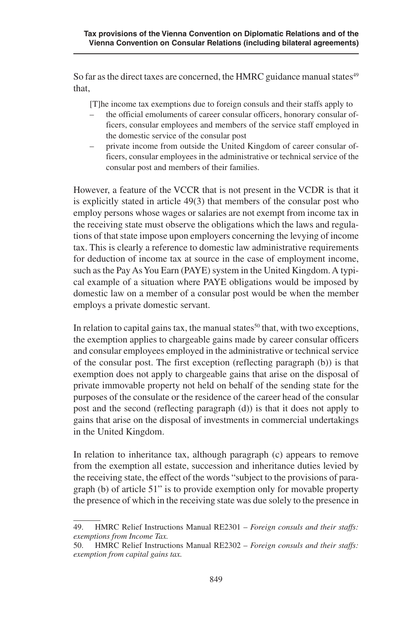So far as the direct taxes are concerned, the HMRC guidance manual states<sup>49</sup> that,

[T]he income tax exemptions due to foreign consuls and their staffs apply to

- the official emoluments of career consular officers, honorary consular officers, consular employees and members of the service staff employed in the domestic service of the consular post
- private income from outside the United Kingdom of career consular officers, consular employees in the administrative or technical service of the consular post and members of their families.

However, a feature of the VCCR that is not present in the VCDR is that it is explicitly stated in article 49(3) that members of the consular post who employ persons whose wages or salaries are not exempt from income tax in the receiving state must observe the obligations which the laws and regulations of that state impose upon employers concerning the levying of income tax. This is clearly a reference to domestic law administrative requirements for deduction of income tax at source in the case of employment income, such as the Pay As You Earn (PAYE) system in the United Kingdom. A typical example of a situation where PAYE obligations would be imposed by domestic law on a member of a consular post would be when the member employs a private domestic servant.

In relation to capital gains tax, the manual states<sup>50</sup> that, with two exceptions, the exemption applies to chargeable gains made by career consular officers and consular employees employed in the administrative or technical service of the consular post. The first exception (reflecting paragraph (b)) is that exemption does not apply to chargeable gains that arise on the disposal of private immovable property not held on behalf of the sending state for the purposes of the consulate or the residence of the career head of the consular post and the second (reflecting paragraph (d)) is that it does not apply to gains that arise on the disposal of investments in commercial undertakings in the United Kingdom.

In relation to inheritance tax, although paragraph (c) appears to remove from the exemption all estate, succession and inheritance duties levied by the receiving state, the effect of the words "subject to the provisions of paragraph (b) of article 51" is to provide exemption only for movable property the presence of which in the receiving state was due solely to the presence in

<sup>49.</sup> HMRC Relief Instructions Manual RE2301 – *Foreign consuls and their staffs: exemptions from Income Tax.*

<sup>50.</sup> HMRC Relief Instructions Manual RE2302 – *Foreign consuls and their staffs: exemption from capital gains tax.*